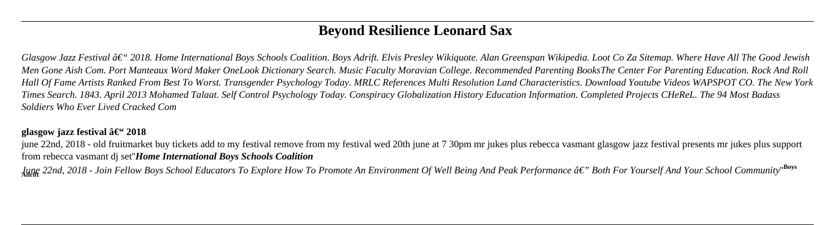# **Beyond Resilience Leonard Sax**

*Glasgow Jazz Festival – 2018. Home International Boys Schools Coalition. Boys Adrift. Elvis Presley Wikiquote. Alan Greenspan Wikipedia. Loot Co Za Sitemap. Where Have All The Good Jewish Men Gone Aish Com. Port Manteaux Word Maker OneLook Dictionary Search. Music Faculty Moravian College. Recommended Parenting BooksThe Center For Parenting Education. Rock And Roll Hall Of Fame Artists Ranked From Best To Worst. Transgender Psychology Today. MRLC References Multi Resolution Land Characteristics. Download Youtube Videos WAPSPOT CO. The New York Times Search. 1843. April 2013 Mohamed Talaat. Self Control Psychology Today. Conspiracy Globalization History Education Information. Completed Projects CHeReL. The 94 Most Badass Soldiers Who Ever Lived Cracked Com*

### **glasgow jazz festival**  $\hat{a}\in$  **2018**

june 22nd, 2018 - old fruitmarket buy tickets add to my festival remove from my festival wed 20th june at 7 30pm mr jukes plus rebecca vasmant glasgow jazz festival presents mr jukes plus support from rebecca vasmant dj set''*Home International Boys Schools Coalition*

**June 22nd, 2018 - Join Fellow Boys School Educators To Explore How To Promote An Environment Of Well Being And Peak Performance â€" Both For Yourself And Your School Community''<sup>Boys</sup> Adrift**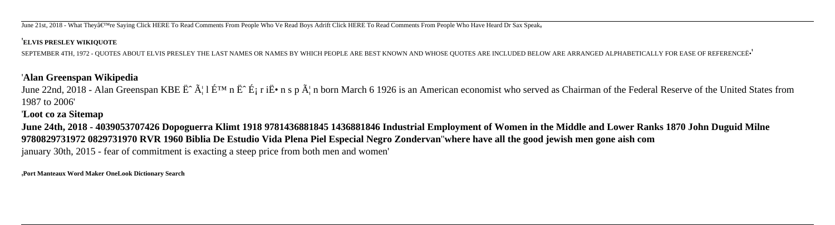June 21st, 2018 - What They're Saying Click HERE To Read Comments From People Who Ve Read Boys Adrift Click HERE To Read Comments From People Who Have Heard Dr Sax Speak

#### '**ELVIS PRESLEY WIKIQUOTE**

SEPTEMBER 4TH, 1972 - QUOTES ABOUT ELVIS PRESLEY THE LAST NAMES OR NAMES BY WHICH PEOPLE ARE BEST KNOWN AND WHOSE QUOTES ARE INCLUDED BELOW ARE ARRANGED ALPHABETICALLY FOR EASE OF REFERENCEË•'

## '**Alan Greenspan Wikipedia**

June 22nd, 2018 - Alan Greenspan KBE  $\ddot{E}^{\hat{}}$   $\tilde{A}$ : 1  $\tilde{E}^{\text{TM}}$  n  $\ddot{E}^{\hat{}}$   $\tilde{E}$  i  $\tilde{E}$  i  $\tilde{E}$  i  $\tilde{E}$  i  $\tilde{E}$  i  $\tilde{E}$  i  $\tilde{E}$  i  $\tilde{E}$  i  $\tilde{E}$  i  $\tilde{E}$  i  $\tilde{E}$  i  $\tilde{E$ 1987 to 2006'

## '**Loot co za Sitemap**

**June 24th, 2018 - 4039053707426 Dopoguerra Klimt 1918 9781436881845 1436881846 Industrial Employment of Women in the Middle and Lower Ranks 1870 John Duguid Milne 9780829731972 0829731970 RVR 1960 Biblia De Estudio Vida Plena Piel Especial Negro Zondervan**''**where have all the good jewish men gone aish com** january 30th, 2015 - fear of commitment is exacting a steep price from both men and women'

'**Port Manteaux Word Maker OneLook Dictionary Search**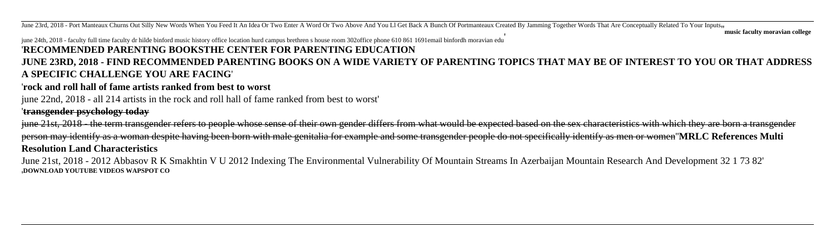June 23rd, 2018 - Port Manteaux Churns Out Silly New Words When You Feed It An Idea Or Two Enter A Word Or Two Above And You Ll Get Back A Bunch Of Portmanteaux Created By Jamming Together Words That Are Conceptually Relat

#### june 24th, 2018 - faculty full time faculty dr hilde binford music history office location hurd campus brethren s house room 302office phone 610 861 1691email binfordh moravian edu

#### '**RECOMMENDED PARENTING BOOKSTHE CENTER FOR PARENTING EDUCATION**

### **JUNE 23RD, 2018 - FIND RECOMMENDED PARENTING BOOKS ON A WIDE VARIETY OF PARENTING TOPICS THAT MAY BE OF INTEREST TO YOU OR THAT ADDRESS A SPECIFIC CHALLENGE YOU ARE FACING**'

#### '**rock and roll hall of fame artists ranked from best to worst**

#### june 22nd, 2018 - all 214 artists in the rock and roll hall of fame ranked from best to worst'

### '**transgender psychology today**

june 21st, 2018 - the term transgender refers to people whose sense of their own gender differs from what would be expected based on the sex characteristics with which they are born a transgender person may identify as a woman despite having been born with male genitalia for example and some transgender people do not specifically identify as men or women''**MRLC References Multi Resolution Land Characteristics**

June 21st, 2018 - 2012 Abbasov R K Smakhtin V U 2012 Indexing The Environmental Vulnerability Of Mountain Streams In Azerbaijan Mountain Research And Development 32 1 73 82' '**DOWNLOAD YOUTUBE VIDEOS WAPSPOT CO**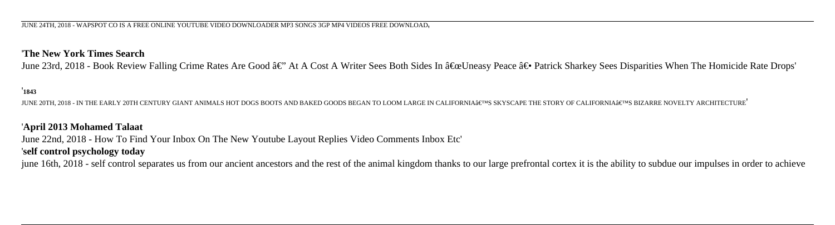#### '**The New York Times Search**

June 23rd, 2018 - Book Review Falling Crime Rates Are Good  $\hat{a}\in$ " At A Cost A Writer Sees Both Sides In  $\hat{a}\in\text{E}$  Uneasy Peace  $\hat{a}\in\bullet$  Patrick Sharkey Sees Disparities When The Homicide Rate Drops'

#### '**1843**

JUNE 20TH, 2018 - IN THE EARLY 20TH CENTURY GIANT ANIMALS HOT DOGS BOOTS AND BAKED GOODS BEGAN TO LOOM LARGE IN CALIFORNIA'S SKYSCAPE THE STORY OF CALIFORNIA'S BIZARRE NOVELTY ARCHITECTURE'

#### '**April 2013 Mohamed Talaat**

June 22nd, 2018 - How To Find Your Inbox On The New Youtube Layout Replies Video Comments Inbox Etc'

#### '**self control psychology today**

june 16th, 2018 - self control separates us from our ancient ancestors and the rest of the animal kingdom thanks to our large prefrontal cortex it is the ability to subdue our impulses in order to achieve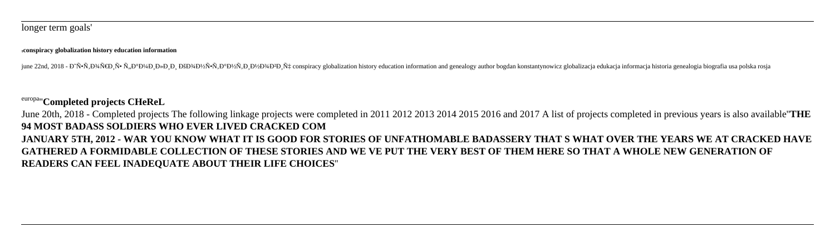#### '**conspiracy globalization history education information**

iune 22nd. 2018 - Đ Ñ•Ñ.Đ¾Ň€Đ Ň• Ñ.Đ<sup>∞</sup>Đ ¼Đ лРĐ ĐšĐ¾Đ½Ñ•Ñ,Đ Đ½Đ¾ĐР҇ conspiracy globalization history education information and genealogy author bogdan konstantynowicz globalizacja edukacja informacja historia genealog

## europa''**Completed projects CHeReL**

June 20th, 2018 - Completed projects The following linkage projects were completed in 2011 2012 2013 2014 2015 2016 and 2017 A list of projects completed in previous years is also available''**THE 94 MOST BADASS SOLDIERS WHO EVER LIVED CRACKED COM JANUARY 5TH, 2012 - WAR YOU KNOW WHAT IT IS GOOD FOR STORIES OF UNFATHOMABLE BADASSERY THAT S WHAT OVER THE YEARS WE AT CRACKED HAVE GATHERED A FORMIDABLE COLLECTION OF THESE STORIES AND WE VE PUT THE VERY BEST OF THEM HERE SO THAT A WHOLE NEW GENERATION OF READERS CAN FEEL INADEQUATE ABOUT THEIR LIFE CHOICES**''